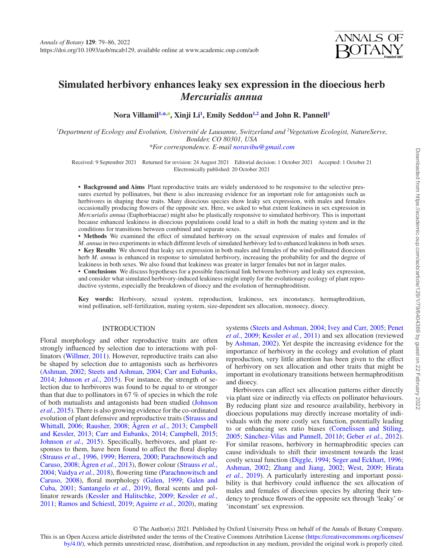

# **Simulated herbivory enhances leaky sex expression in the dioecious herb**  *Mercurialis annua*

<code>Nora Villamil $^{1,\ast,\bullet}$  $^{1,\ast,\bullet}$  $^{1,\ast,\bullet}$ , Xinji Li $^{1}$  $^{1}$  $^{1}$ , Emily Seddon $^{1,2}$  $^{1,2}$  $^{1,2}$  and John R. Pannell $^{1}$ </code>

<span id="page-0-2"></span><span id="page-0-0"></span>*1 Department of Ecology and Evolution, Université de Lausanne, Switzerland and 2 Vegetation Ecologist, NatureServe, Boulder, CO 80301, USA*

<span id="page-0-1"></span>*\*For correspondence. E-mail [noravibu@gmail.com](mailto:noravibu@gmail.com?subject=)*

Received: 9 September 2021 Returned for revision: 24 August 2021 Editorial decision: 1 October 2021 Accepted: 1 October 21 Electronically published: 20 October 2021

**• Background and Aims** Plant reproductive traits are widely understood to be responsive to the selective pressures exerted by pollinators, but there is also increasing evidence for an important role for antagonists such as herbivores in shaping these traits. Many dioecious species show leaky sex expression, with males and females occasionally producing flowers of the opposite sex. Here, we asked to what extent leakiness in sex expression in *Mercurialis annua* (Euphorbiaceae) might also be plastically responsive to simulated herbivory. This is important because enhanced leakiness in dioecious populations could lead to a shift in both the mating system and in the conditions for transitions between combined and separate sexes.

• **Methods** We examined the effect of simulated herbivory on the sexual expression of males and females of *M. annua* in two experiments in which different levels of simulated herbivory led to enhanced leakiness in both sexes. • Key Results We showed that leaky sex expression in both males and females of the wind-pollinated dioecious herb *M. annua* is enhanced in response to simulated herbivory, increasing the probability for and the degree of leakiness in both sexes. We also found that leakiness was greater in larger females but not in larger males.

• **Conclusions** We discuss hypotheses for a possible functional link between herbivory and leaky sex expression, and consider what simulated herbivory-induced leakiness might imply for the evolutionary ecology of plant reproductive systems, especially the breakdown of dioecy and the evolution of hermaphroditism.

**Key words:** Herbivory, sexual system, reproduction, leakiness, sex inconstancy, hermaphroditism, wind pollination, self-fertilization, mating system, size-dependent sex allocation, monoecy, dioecy.

# INTRODUCTION

Floral morphology and other reproductive traits are often strongly influenced by selection due to interactions with pollinators [\(Willmer, 2011\)](#page-7-0). However, reproductive traits can also be shaped by selection due to antagonists such as herbivores [\(Ashman, 2002](#page-6-0); [Steets and Ashman, 2004;](#page-7-1) [Carr and Eubanks,](#page-6-1) [2014](#page-6-1); [Johnson](#page-6-2) *et al.*, 2015). For instance, the strength of selection due to herbivores was found to be equal to or stronger than that due to pollinators in 67 % of species in which the role of both mutualists and antagonists had been studied ([Johnson](#page-6-2) *et al.*[, 2015](#page-6-2)). There is also growing evidence for the co-ordinated evolution of plant defensive and reproductive traits [\(Strauss and](#page-7-2) [Whittall, 2006](#page-7-2); [Rausher, 2008](#page-7-3); [Ågren](#page-5-0) *et al.*, 2013; [Campbell](#page-6-3) [and Kessler, 2013;](#page-6-3) [Carr and Eubanks, 2014;](#page-6-1) [Campbell, 2015;](#page-6-4) [Johnson](#page-6-2) *et al.*, 2015). Specifically, herbivores, and plant responses to them, have been found to affect the floral display [\(Strauss](#page-7-4) *et al*., 1996, [1999](#page-7-5); [Herrera, 2000](#page-6-5); [Parachnowitsch and](#page-7-6) [Caruso, 2008](#page-7-6); [Ågren](#page-5-0) *et al.*, 2013), flower colour ([Strauss](#page-7-7) *et al.*, [2004](#page-7-7); [Vaidya](#page-7-8) *et al.*, 2018), flowering time ([Parachnowitsch and](#page-7-6) [Caruso, 2008\)](#page-7-6), floral morphology [\(Galen, 1999;](#page-6-6) [Galen and](#page-6-7) [Cuba, 2001;](#page-6-7) [Santangelo](#page-7-9) *et al.*, 2019), floral scents and pollinator rewards ([Kessler and Halitschke, 2009](#page-6-8); [Kessler](#page-6-9) *et al.*, [2011;](#page-6-9) [Ramos and Schiestl, 2019](#page-7-10); [Aguirre](#page-6-10) *et al.*, 2020), mating

systems [\(Steets and Ashman, 2004](#page-7-1); [Ivey and Carr, 2005](#page-6-11); [Penet](#page-7-11)  *et al.*[, 2009](#page-7-11); [Kessler](#page-6-9) *et al.*, 2011) and sex allocation (reviewed by [Ashman, 2002\)](#page-6-0). Yet despite the increasing evidence for the importance of herbivory in the ecology and evolution of plant reproduction, very little attention has been given to the effect of herbivory on sex allocation and other traits that might be important in evolutionary transitions between hermaphroditism and dioecy.

Herbivores can affect sex allocation patterns either directly via plant size or indirectly via effects on pollinator behaviours. By reducing plant size and resource availability, herbivory in dioecious populations may directly increase mortality of individuals with the more costly sex function, potentially leading to or enhancing sex ratio biases [\(Cornelissen and Stiling,](#page-6-12)  [2005](#page-6-12); [Sánchez-Vilas and Pannell, 2011](#page-7-12)*b*; [Geber](#page-6-13) *et al.*, 2012). For similar reasons, herbivory in hermaphroditic species can cause individuals to shift their investment towards the least costly sexual function ([Diggle, 1994;](#page-6-14) [Seger and Eckhart, 1996](#page-7-13); [Ashman, 2002;](#page-6-0) [Zhang and Jiang, 2002;](#page-7-14) [West, 2009;](#page-7-15) [Hirata](#page-6-15)  *et al.*[, 2019\)](#page-6-15). A particularly interesting and important possibility is that herbivory could influence the sex allocation of males and females of dioecious species by altering their tendency to produce flowers of the opposite sex through 'leaky' or 'inconstant' sex expression.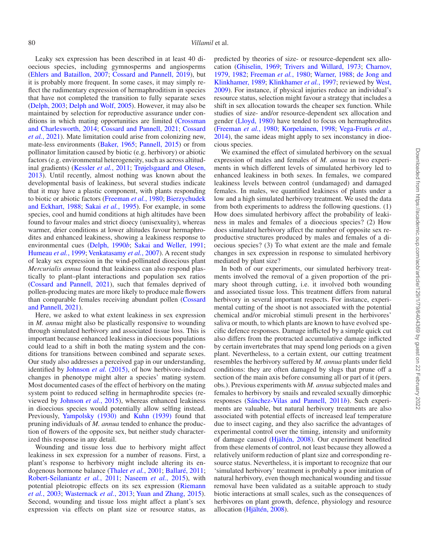Leaky sex expression has been described in at least 40 dioecious species, including gymnosperms and angiosperms [\(Ehlers and Bataillon, 2007](#page-6-16); [Cossard and Pannell, 2019](#page-6-17)), but it is probably more frequent. In some cases, it may simply reflect the rudimentary expression of hermaphroditism in species that have not completed the transition to fully separate sexes [\(Delph, 2003;](#page-6-18) [Delph and Wolf, 2005\)](#page-6-19). However, it may also be maintained by selection for reproductive assurance under conditions in which mating opportunities are limited ([Crossman](#page-6-20)  [and Charlesworth, 2014;](#page-6-20) [Cossard and Pannell, 2021](#page-6-21); [Cossard](#page-6-22)  *et al.*[, 2021\)](#page-6-22). Mate limitation could arise from colonizing new, mate-less environments [\(Baker, 1965](#page-6-23); [Pannell, 2015](#page-7-16)) or from pollinator limitation caused by biotic (e.g. herbivory) or abiotic factors (e.g. environmental heterogeneity, such as across altitudinal gradients) ([Kessler](#page-6-9) *et al.*, 2011; [Trøjelsgaard and Olesen,](#page-7-17)  [2013](#page-7-17)). Until recently, almost nothing was known about the developmental basis of leakiness, but several studies indicate that it may have a plastic component, with plants responding to biotic or abiotic factors ([Freeman](#page-6-24) *et al.*, 1980; [Bierzychudek](#page-6-25)  [and Eckhart, 1988;](#page-6-25) Sakai *et al.*[, 1995](#page-7-18)). For example, in some species, cool and humid conditions at high altitudes have been found to favour males and strict dioecy (unisexuality), whereas warmer, drier conditions at lower altitudes favour hermaphrodites and enhanced leakiness, showing a leakiness response to environmental cues [\(Delph, 1990](#page-6-26)*b*; [Sakai and Weller, 1991;](#page-7-19) [Humeau](#page-6-27) *et al.*, 1999; [Venkatasamy](#page-7-20) *et al.*, 2007). A recent study of leaky sex expression in the wind-pollinated dioecious plant *Mercurialis annua* found that leakiness can also respond plastically to plant–plant interactions and population sex ratios [\(Cossard and Pannell, 2021\)](#page-6-21), such that females deprived of pollen-producing mates are more likely to produce male flowers than comparable females receiving abundant pollen [\(Cossard](#page-6-21)  [and Pannell, 2021\)](#page-6-21).

Here, we asked to what extent leakiness in sex expression in *M. annua* might also be plastically responsive to wounding through simulated herbivory and associated tissue loss. This is important because enhanced leakiness in dioecious populations could lead to a shift in both the mating system and the conditions for transitions between combined and separate sexes. Our study also addresses a perceived gap in our understanding, identified by [Johnson](#page-6-2) *et al.* (2015), of how herbivore-induced changes in phenotype might alter a species' mating system. Most documented cases of the effect of herbivory on the mating system point to reduced selfing in hermaphrodite species (reviewed by [Johnson](#page-6-2) *et al.*, 2015), whereas enhanced leakiness in dioecious species would potentially allow selfing instead. Previously, [Yampolsky \(1930\)](#page-7-21) and [Kuhn \(1939\)](#page-6-28) found that pruning individuals of *M. annua* tended to enhance the production of flowers of the opposite sex, but neither study characterized this response in any detail.

Wounding and tissue loss due to herbivory might affect leakiness in sex expression for a number of reasons. First, a plant's response to herbivory might include altering its endogenous hormone balance ([Thaler](#page-7-22) *et al.*, 2001; [Ballaré, 2011;](#page-6-29) [Robert-Seilaniantz](#page-7-23) *et al.*, 2011; [Naseem](#page-7-24) *et al.*, 2015), with potential pleiotropic effects on its sex expression [\(Riemann](#page-7-25)  *et al.*[, 2003](#page-7-25); [Wasternack](#page-7-26) *et al.*, 2013; [Yuan and Zhang, 2015\)](#page-7-27). Second, wounding and tissue loss might affect a plant's sex expression via effects on plant size or resource status, as

predicted by theories of size- or resource-dependent sex allocation ([Ghiselin, 1969](#page-6-30); [Trivers and Willard, 1973;](#page-7-28) [Charnov,](#page-6-31) [1979,](#page-6-31) [1982](#page-6-32); [Freeman](#page-6-24) *et al.*, 1980; [Warner, 1988;](#page-7-29) [de Jong and](#page-6-33) [Klinkhamer, 1989;](#page-6-33) [Klinkhamer](#page-6-34) *et al.*, 1997; reviewed by [West,](#page-7-15) [2009\)](#page-7-15). For instance, if physical injuries reduce an individual's resource status, selection might favour a strategy that includes a shift in sex allocation towards the cheaper sex function. While studies of size- and/or resource-dependent sex allocation and gender [\(Lloyd, 1980](#page-7-30)) have tended to focus on hermaphrodites ([Freeman](#page-6-24) *et al.*, 1980; [Korpelainen, 1998;](#page-6-35) [Vega-Frutis](#page-7-31) *et al.*, [2014\)](#page-7-31), the same ideas might apply to sex inconstancy in dioecious species.

We examined the effect of simulated herbivory on the sexual expression of males and females of *M. annua* in two experiments in which different levels of simulated herbivory led to enhanced leakiness in both sexes. In females, we compared leakiness levels between control (undamaged) and damaged females. In males, we quantified leakiness of plants under a low and a high simulated herbivory treatment. We used the data from both experiments to address the following questions. (1) How does simulated herbivory affect the probability of leakiness in males and females of a dioecious species? (2) How does simulated herbivory affect the number of opposite sex reproductive structures produced by males and females of a dioecious species? (3) To what extent are the male and female changes in sex expression in response to simulated herbivory mediated by plant size?

In both of our experiments, our simulated herbivory treatments involved the removal of a given proportion of the primary shoot through cutting, i.e. it involved both wounding and associated tissue loss. This treatment differs from natural herbivory in several important respects. For instance, experimental cutting of the shoot is not associated with the potential chemical and/or microbial stimuli present in the herbivores' saliva or mouth, to which plants are known to have evolved specific defence responses. Damage inflicted by a simple quick cut also differs from the protracted accumulative damage inflicted by certain invertebrates that may spend long periods on a given plant. Nevertheless, to a certain extent, our cutting treatment resembles the herbivory suffered by *M. annua* plants under field conditions: they are often damaged by slugs that prune off a section of the main axis before consuming all or part of it (pers. obs.). Previous experiments with *M. annua* subjected males and females to herbivory by snails and revealed sexually dimorphic responses [\(Sánchez-Vilas and Pannell, 2011](#page-7-12)*b*). Such experiments are valuable, but natural herbivory treatments are also associated with potential effects of increased leaf temperature due to insect caging, and they also sacrifice the advantages of experimental control over the timing, intensity and uniformity of damage caused ([Hjältén, 2008\)](#page-6-36). Our experiment benefited from these elements of control, not least because they allowed a relatively uniform reduction of plant size and corresponding resource status. Nevertheless, it is important to recognize that our 'simulated herbivory' treatment is probably a poor imitation of natural herbivory, even though mechanical wounding and tissue removal have been validated as a suitable approach to study biotic interactions at small scales, such as the consequences of herbivores on plant growth, defence, physiology and resource allocation ([Hjältén, 2008](#page-6-36)).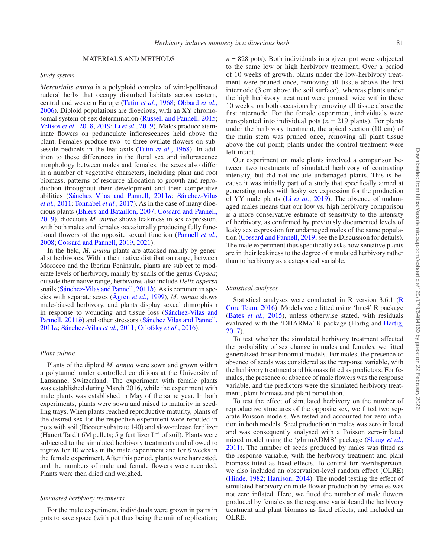## MATERIALS AND METHODS

#### *Study system*

*Mercurialis annua* is a polyploid complex of wind-pollinated ruderal herbs that occupy disturbed habitats across eastern, central and western Europe (Tutin *et al.*[, 1968;](#page-7-32) [Obbard](#page-7-33) *et al.*, [2006](#page-7-33)). Diploid populations are dioecious, with an XY chromo-somal system of sex determination ([Russell and Pannell, 2015;](#page-7-34) [Veltsos](#page-7-35) *et al*., 2018, [2019](#page-7-36); Li *et al.*[, 2019](#page-6-37)). Males produce staminate flowers on pedunculate inflorescences held above the plant. Females produce two- to three-ovulate flowers on subsessile pedicels in the leaf axils (Tutin *et al.*[, 1968\)](#page-7-32). In addition to these differences in the floral sex and inflorescence morphology between males and females, the sexes also differ in a number of vegetative characters, including plant and root biomass, patterns of resource allocation to growth and reproduction throughout their development and their competitive abilities [\(Sánchez Vilas and Pannell, 2011](#page-7-37)*a*; [Sánchez-Vilas](#page-7-38) *et al.*[, 2011](#page-7-38); [Tonnabel](#page-7-39) *et al.*, 2017). As in the case of many dioecious plants ([Ehlers and Bataillon, 2007](#page-6-16); [Cossard and Pannell,](#page-6-17) [2019](#page-6-17)), dioecious *M. annua* shows leakiness in sex expression, with both males and females occasionally producing fully functional flowers of the opposite sexual function [\(Pannell](#page-7-40) *et al.*, [2008](#page-7-40); [Cossard and Pannell, 2019,](#page-6-17) [2021\)](#page-6-21).

In the field, *M. annua* plants are attacked mainly by generalist herbivores. Within their native distribution range, between Morocco and the Iberian Peninsula, plants are subject to moderate levels of herbivory, mainly by snails of the genus *Cepaea*; outside their native range, herbivores also include *Helix aspersa* snails ([Sánchez-Vilas and Pannell, 2011](#page-7-12)*b*). As is common in species with separate sexes [\(Ågren](#page-5-1) *et al.*, 1999), *M. annua* shows male-biased herbivory, and plants display sexual dimorphism in response to wounding and tissue loss [\(Sánchez-Vilas and](#page-7-12) [Pannell, 2011](#page-7-12)*b*) and other stressors ([Sánchez Vilas and Pannell,](#page-7-37) [2011](#page-7-37)*a*; [Sánchez-Vilas](#page-7-38) *et al.*, 2011; [Orlofsky](#page-7-41) *et al.*, 2016).

### *Plant culture*

Plants of the diploid *M. annua* were sown and grown within a polytunnel under controlled conditions at the University of Lausanne, Switzerland. The experiment with female plants was established during March 2016, while the experiment with male plants was established in May of the same year. In both experiments, plants were sown and raised to maturity in seedling trays. When plants reached reproductive maturity, plants of the desired sex for the respective experiment were repotted in pots with soil (Ricoter substrate 140) and slow-release fertilizer (Hauert Tardit 6M pellets; 5 g fertilizer  $L^{-1}$  of soil). Plants were subjected to the simulated herbivory treatments and allowed to regrow for 10 weeks in the male experiment and for 8 weeks in the female experiment. After this period, plants were harvested, and the numbers of male and female flowers were recorded. Plants were then dried and weighed.

### *Simulated herbivory treatments*

For the male experiment, individuals were grown in pairs in pots to save space (with pot thus being the unit of replication;  $n = 828$  pots). Both individuals in a given pot were subjected to the same low or high herbivory treatment. Over a period of 10 weeks of growth, plants under the low-herbivory treatment were pruned once, removing all tissue above the first internode (3 cm above the soil surface), whereas plants under the high herbivory treatment were pruned twice within these 10 weeks, on both occasions by removing all tissue above the first internode. For the female experiment, individuals were transplanted into individual pots  $(n = 219 \text{ plants})$ . For plants under the herbivory treatment, the apical section (10 cm) of the main stem was pruned once, removing all plant tissue above the cut point; plants under the control treatment were left intact.

Our experiment on male plants involved a comparison between two treatments of simulated herbivory of contrasting intensity, but did not include undamaged plants. This is because it was initially part of a study that specifically aimed at generating males with leaky sex expression for the production of YY male plants (Li *et al.*[, 2019\)](#page-6-37). The absence of undamaged males means that our low vs. high herbivory comparison is a more conservative estimate of sensitivity to the intensity of herbivory, as confirmed by previously documented levels of leaky sex expression for undamaged males of the same population [\(Cossard and Pannell, 2019;](#page-6-17) see the Discussion for details). The male experiment thus specifically asks how sensitive plants are in their leakiness to the degree of simulated herbivory rather than to herbivory as a categorical variable.

# *Statistical analyses*

Statistical analyses were conducted in R version 3.6.1 [\(R](#page-7-42) [Core Team, 2016\)](#page-7-42). Models were fitted using 'lme4' R package (Bates *et al.*[, 2015\)](#page-6-38), unless otherwise stated, with residuals evaluated with the 'DHARMa' R package (Hartig and [Hartig,](#page-6-39) [2017](#page-6-39)).

To test whether the simulated herbivory treatment affected the probability of sex change in males and females, we fitted generalized linear binomial models. For males, the presence or absence of seeds was considered as the response variable, with the herbivory treatment and biomass fitted as predictors. For females, the presence or absence of male flowers was the response variable, and the predictors were the simulated herbivory treatment, plant biomass and plant population.

To test the effect of simulated herbivory on the number of reproductive structures of the opposite sex, we fitted two separate Poisson models. We tested and accounted for zero inflation in both models. Seed production in males was zero inflated and was consequently analysed with a Poisson zero-inflated mixed model using the 'glmmADMB' package [\(Skaug](#page-7-43) *et al.*, [2011](#page-7-43)). The number of seeds produced by males was fitted as the response variable, with the herbivory treatment and plant biomass fitted as fixed effects. To control for overdispersion, we also included an observation-level random effect (OLRE) ([Hinde, 1982;](#page-6-40) [Harrison, 2014](#page-6-41)). The model testing the effect of simulated herbivory on male flower production by females was not zero inflated. Here, we fitted the number of male flowers produced by females as the response variableand the herbivory treatment and plant biomass as fixed effects, and included an OLRE.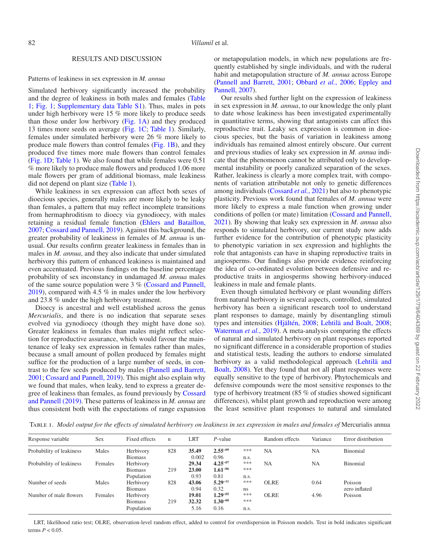## RESULTS AND DISCUSSION

## Patterns of leakiness in sex expression in *M. annua*

Simulated herbivory significantly increased the probability and the degree of leakiness in both males and females ([Table](#page-3-0)  [1](#page-3-0); [Fig. 1;](#page-4-0) [Supplementary data Table S1\)](http://academic.oup.com/aob/article-lookup/doi/10.1093/aob/mcab129#supplementary-data). Thus, males in pots under high herbivory were 15 % more likely to produce seeds than those under low herbivory [\(Fig. 1A](#page-4-0)) and they produced 13 times more seeds on average ([Fig. 1C;](#page-4-0) [Table 1](#page-3-0)). Similarly, females under simulated herbivory were 26 % more likely to produce male flowers than control females [\(Fig. 1B](#page-4-0)), and they produced five times more male flowers than control females [\(Fig. 1D;](#page-4-0) [Table 1](#page-3-0)). We also found that while females were 0.51 % more likely to produce male flowers and produced 1.06 more male flowers per gram of additional biomass, male leakiness did not depend on plant size [\(Table 1\)](#page-3-0).

While leakiness in sex expression can affect both sexes of dioecious species, generally males are more likely to be leaky than females, a pattern that may reflect incomplete transitions from hermaphroditism to dioecy via gynodioecy, with males retaining a residual female function ([Ehlers and Bataillon,](#page-6-16)  [2007](#page-6-16); [Cossard and Pannell, 2019](#page-6-17)). Against this background, the greater probability of leakiness in females of *M. annua* is unusual. Our results confirm greater leakiness in females than in males in *M. annua*, and they also indicate that under simulated herbivory this pattern of enhanced leakiness is maintained and even accentuated. Previous findings on the baseline percentage probability of sex inconstancy in undamaged *M. annua* males of the same source population were 3 % [\(Cossard and Pannell,](#page-6-17)  [2019](#page-6-17)), compared with 4.5 % in males under the low herbivory and 23.8 % under the high herbivory treatment.

Dioecy is ancestral and well established across the genus *Mercurialis*, and there is no indication that separate sexes evolved via gynodioecy (though they might have done so). Greater leakiness in females than males might reflect selection for reproductive assurance, which would favour the maintenance of leaky sex expression in females rather than males, because a small amount of pollen produced by females might suffice for the production of a large number of seeds, in contrast to the few seeds produced by males [\(Pannell and Barrett,](#page-7-44)  [2001](#page-7-44); [Cossard and Pannell, 2019\)](#page-6-17). This might also explain why we found that males, when leaky, tend to express a greater degree of leakiness than females, as found previously by [Cossard](#page-6-17)  [and Pannell \(2019\)](#page-6-17). These patterns of leakiness in *M. annua* are thus consistent both with the expectations of range expansion

or metapopulation models, in which new populations are frequently established by single individuals, and with the ruderal habit and metapopulation structure of *M. annua* across Europe ([Pannell and Barrett, 2001](#page-7-44); [Obbard](#page-7-33) *et al.*, 2006; [Eppley and](#page-6-42) [Pannell, 2007](#page-6-42)).

Our results shed further light on the expression of leakiness in sex expression in *M. annua*, to our knowledge the only plant to date whose leakiness has been investigated experimentally in quantitative terms, showing that antagonists can affect this reproductive trait. Leaky sex expression is common in dioecious species, but the basis of variation in leakiness among individuals has remained almost entirely obscure. Our current and previous studies of leaky sex expression in *M. annua* indicate that the phenomenon cannot be attributed only to developmental instability or poorly canalized separation of the sexes. Rather, leakiness is clearly a more complex trait, with components of variation attributable not only to genetic differences among individuals ([Cossard](#page-6-22) *et al.*, 2021) but also to phenotypic plasticity. Previous work found that females of *M. annua* were more likely to express a male function when growing under conditions of pollen (or mate) limitation ([Cossard and Pannell,](#page-6-21)  [2021\)](#page-6-21). By showing that leaky sex expression in *M. annua* also responds to simulated herbivory, our current study now adds further evidence for the contribution of phenotypic plasticity to phenotypic variation in sex expression and highlights the role that antagonists can have in shaping reproductive traits in angiosperms. Our findings also provide evidence reinforcing the idea of co-ordinated evolution between defensive and reproductive traits in angiosperms showing herbivory-induced leakiness in male and female plants.

Even though simulated herbivory or plant wounding differs from natural herbivory in several aspects, controlled, simulated herbivory has been a significant research tool to understand plant responses to damage, mainly by disentangling stimuli types and intensities [\(Hjältén, 2008;](#page-6-36) [Lehtilä and Boalt, 2008](#page-6-43); [Waterman](#page-7-45) *et al.*, 2019). A meta-analysis comparing the effects of natural and simulated herbivory on plant responses reported no significant difference in a considerable proportion of studies and statistical tests, leading the authors to endorse simulated herbivory as a valid methodological approach [\(Lehtilä and](#page-6-43)  [Boalt, 2008\)](#page-6-43). Yet they found that not all plant responses were equally sensitive to the type of herbivory. Phytochemicals and defensive compounds were the most sensitive responses to the type of herbivory treatment (85 % of studies showed significant differences), whilst plant growth and reproduction were among the least sensitive plant responses to natural and simulated

<span id="page-3-0"></span>Table 1. *Model output for the effects of simulated herbivory on leakiness in sex expression in males and females of* Mercurialis annua

| Response variable        | Sex     | Fixed effects  | $\mathbf n$ | LRT   | $P$ -value   |      | Random effects | Variance  | Error distribution |
|--------------------------|---------|----------------|-------------|-------|--------------|------|----------------|-----------|--------------------|
| Probability of leakiness | Males   | Herbivory      | 828         | 35.49 | $2.55^{-09}$ | ***  | <b>NA</b>      | <b>NA</b> | Binomial           |
|                          |         | <b>Biomass</b> |             | 0.002 | 0.96         | n.s. |                |           |                    |
| Probability of leakiness | Females | Herbivory      |             | 29.34 | $4.25^{-07}$ | ***  | <b>NA</b>      | NA        | Binomial           |
|                          |         | <b>Biomass</b> | 219         | 23.00 | $1.61^{-06}$ | ***  |                |           |                    |
|                          |         | Population     |             | 0.93  | 0.81         | n.s. |                |           |                    |
| Number of seeds          | Males   | Herbivory      | 828         | 43.06 | $5.29^{-11}$ | ***  | <b>OLRE</b>    | 0.64      | Poisson            |
|                          |         | <b>Biomass</b> |             | 0.94  | 0.32         | ns   |                |           | zero inflated      |
| Number of male flowers   | Females | Herbivory      | 219         | 19.01 | $1.29 - 05$  | ***  | <b>OLRE</b>    | 4.96      | Poisson            |
|                          |         | <b>Biomass</b> |             | 32.32 | $1.30^{-08}$ | ***  |                |           |                    |
|                          |         | Population     |             | 5.16  | 0.16         | n.s. |                |           |                    |

LRT, likelihood ratio test; OLRE, observation-level random effect, added to control for overdispersion in Poisson models. Text in bold indicates significant terms  $P < 0.05$ .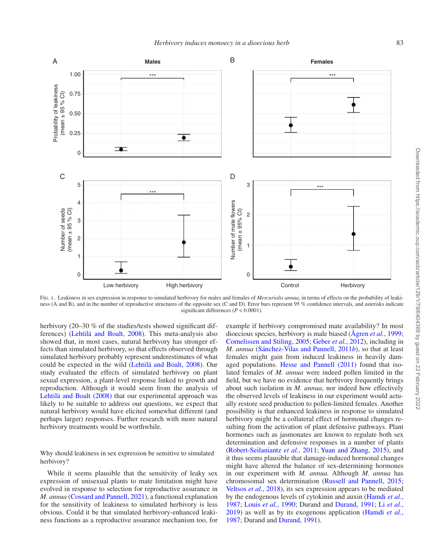

<span id="page-4-0"></span>FIG. 1. Leakiness in sex expression in response to simulated herbivory for males and females of *Mercurialis annua*, in terms of effects on the probability of leakiness (A and B), and in the number of reproductive structures of the opposite sex (C and D). Error bars represent 95 % confidence intervals, and asterisks indicate significant differences  $(P < 0.0001)$ .

herbivory (20–30 % of the studies/tests showed significant differences) [\(Lehtilä and Boalt, 2008](#page-6-43)). This meta-analysis also showed that, in most cases, natural herbivory has stronger effects than simulated herbivory, so that effects observed through simulated herbivory probably represent underestimates of what could be expected in the wild [\(Lehtilä and Boalt, 2008\)](#page-6-43). Our study evaluated the effects of simulated herbivory on plant sexual expression, a plant-level response linked to growth and reproduction. Although it would seem from the analysis of [Lehtilä and Boalt \(2008\)](#page-6-43) that our experimental approach was likely to be suitable to address our questions, we expect that natural herbivory would have elicited somewhat different (and perhaps larger) responses. Further research with more natural herbivory treatments would be worthwhile.

Why should leakiness in sex expression be sensitive to simulated herbivory?

While it seems plausible that the sensitivity of leaky sex expression of unisexual plants to mate limitation might have evolved in response to selection for reproductive assurance in *M. annua* [\(Cossard and Pannell, 2021](#page-6-21)), a functional explanation for the sensitivity of leakiness to simulated herbivory is less obvious. Could it be that simulated herbivory-enhanced leakiness functions as a reproductive assurance mechanism too, for

example if herbivory compromised mate availability? In most dioecious species, herbivory is male biased [\(Ågren](#page-5-1) *et al.*, 1999; [Cornelissen and Stiling, 2005;](#page-6-12) [Geber](#page-6-13) *et al.*, 2012), including in *M. annua* ([Sánchez-Vilas and Pannell, 2011](#page-7-12)*b*), so that at least females might gain from induced leakiness in heavily damaged populations. [Hesse and Pannell \(2011\)](#page-6-44) found that isolated females of *M. annua* were indeed pollen limited in the field, but we have no evidence that herbivory frequently brings about such isolation in *M. annua*, nor indeed how effectively the observed levels of leakiness in our experiment would actually restore seed production to pollen-limited females. Another possibility is that enhanced leakiness in response to simulated herbivory might be a collateral effect of hormonal changes resulting from the activation of plant defensive pathways. Plant hormones such as jasmonates are known to regulate both sex determination and defensive responses in a number of plants ([Robert-Seilaniantz](#page-7-23) *et al.*, 2011; [Yuan and Zhang, 2015](#page-7-27)), and it thus seems plausible that damage-induced hormonal changes might have altered the balance of sex-determining hormones in our experiment with *M. annua.* Although *M. annua* has chromosomal sex determination ([Russell and Pannell, 2015](#page-7-34); [Veltsos](#page-7-35) *et al.*, 2018), its sex expression appears to be mediated by the endogenous levels of cytokinin and auxin ([Hamdi](#page-6-45) *et al.*, [1987](#page-6-45); Louis *et al.*[, 1990;](#page-7-46) Durand and [Durand, 1991;](#page-6-46) Li *[et al.](#page-6-37)*, [2019](#page-6-37)) as well as by its exogenous application [\(Hamdi](#page-6-45) *et al.*, [1987](#page-6-45); Durand and [Durand, 1991](#page-6-46)).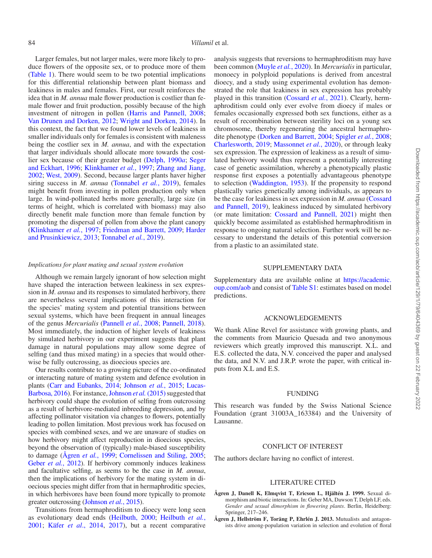Larger females, but not larger males, were more likely to produce flowers of the opposite sex, or to produce more of them [\(Table 1\)](#page-3-0). There would seem to be two potential implications for this differential relationship between plant biomass and leakiness in males and females. First, our result reinforces the idea that in *M. annua* male flower production is costlier than female flower and fruit production, possibly because of the high investment of nitrogen in pollen ([Harris and Pannell, 2008;](#page-6-47) [Van Drunen and Dorken, 2012;](#page-7-47) [Wright and Dorken, 2014](#page-7-48)). In this context, the fact that we found lower levels of leakiness in smaller individuals only for females is consistent with maleness being the costlier sex in *M. annua*, and with the expectation that larger individuals should allocate more towards the costlier sex because of their greater budget [\(Delph, 1990](#page-6-48)*a*; [Seger](#page-7-13)  [and Eckhart, 1996;](#page-7-13) [Klinkhamer](#page-6-34) *et al.*, 1997; [Zhang and Jiang,](#page-7-14)  [2002](#page-7-14); [West, 2009](#page-7-15)). Second, because larger plants haver higher siring success in *M. annua* ([Tonnabel](#page-7-49) *et al.*, 2019), females might benefit from investing in pollen production only when large. In wind-pollinated herbs more generally, large size (in terms of height, which is correlated with biomass) may also directly benefit male function more than female function by promoting the dispersal of pollen from above the plant canopy [\(Klinkhamer](#page-6-34) *et al.*, 1997; [Friedman and Barrett, 2009;](#page-6-49) [Harder](#page-6-50)  [and Prusinkiewicz, 2013](#page-6-50); [Tonnabel](#page-7-49) *et al.*, 2019).

# *Implications for plant mating and sexual system evolution*

Although we remain largely ignorant of how selection might have shaped the interaction between leakiness in sex expression in *M. annua* and its responses to simulated herbivory, there are nevertheless several implications of this interaction for the species' mating system and potential transitions between sexual systems, which have been frequent in annual lineages of the genus *Mercurialis* ([Pannell](#page-7-40) *et al.*, 2008; [Pannell, 2018\)](#page-7-50). Most immediately, the induction of higher levels of leakiness by simulated herbivory in our experiment suggests that plant damage in natural populations may allow some degree of selfing (and thus mixed mating) in a species that would otherwise be fully outcrossing, as dioecious species are.

Our results contribute to a growing picture of the co-ordinated or interacting nature of mating system and defence evolution in plants [\(Carr and Eubanks, 2014](#page-6-1); [Johnson](#page-6-2) *et al.*, 2015; [Lucas-](#page-7-51)[Barbosa, 2016\)](#page-7-51). For instance, [Johnson](#page-6-2) *et al.* (2015) suggested that herbivory could shape the evolution of selfing from outcrossing as a result of herbivore-mediated inbreeding depression, and by affecting pollinator visitation via changes to flowers, potentially leading to pollen limitation. Most previous work has focused on species with combined sexes, and we are unaware of studies on how herbivory might affect reproduction in dioecious species, beyond the observation of (typically) male-biased susceptibility to damage ([Ågren](#page-5-1) *et al.*, 1999; [Cornelissen and Stiling, 2005;](#page-6-12) [Geber](#page-6-13) *et al.*, 2012). If herbivory commonly induces leakiness and facultative selfing, as seems to be the case in *M. annua*, then the implications of herbivory for the mating system in dioecious species might differ from that in hermaphroditic species, in which herbivores have been found more typically to promote greater outcrossing [\(Johnson](#page-6-2) *et al.*, 2015).

Transitions from hermaphroditism to dioecy were long seen as evolutionary dead ends ([Heilbuth, 2000;](#page-6-51) [Heilbuth](#page-6-52) *et al.*, [2001](#page-6-52); Käfer *et al*[., 2014](#page-6-53), [2017](#page-6-54)), but a recent comparative

analysis suggests that reversions to hermaphroditism may have been common ([Muyle](#page-7-52) *et al.*, 2020). In *Mercurialis* in particular, monoecy in polyploid populations is derived from ancestral dioecy, and a study using experimental evolution has demonstrated the role that leakiness in sex expression has probably played in this transition [\(Cossard](#page-6-22) *et al.*, 2021). Clearly, hermaphroditism could only ever evolve from dioecy if males or females occasionally expressed both sex functions, either as a result of recombination between sterility loci on a young sex chromosome, thereby regenerating the ancestral hermaphrodite phenotype [\(Dorken and Barrett, 2004;](#page-6-55) [Spigler](#page-7-53) *et al.*, 2008; [Charlesworth, 2019;](#page-6-56) [Massonnet](#page-7-54) *et al.*, 2020), or through leaky sex expression. The expression of leakiness as a result of simulated herbivory would thus represent a potentially interesting case of genetic assimilation, whereby a phenotypically plastic response first exposes a potentially advantageous phenotype to selection [\(Waddington, 1953\)](#page-7-55). If the propensity to respond plastically varies genetically among individuals, as appears to be the case for leakiness in sex expression in *M. annua* ([Cossard](#page-6-17) [and Pannell, 2019\)](#page-6-17), leakiness induced by simulated herbivory (or mate limitation: [Cossard and Pannell, 2021](#page-6-21)) might then quickly become assimilated as established hermaphroditism in response to ongoing natural selection. Further work will be necessary to understand the details of this potential conversion from a plastic to an assimilated state.

# SUPPLEMENTARY DATA

Supplementary data are available online at [https://academic.](https://academic.oup.com/aob) [oup.com/aob](https://academic.oup.com/aob) and consist of [Table S1:](http://academic.oup.com/aob/article-lookup/doi/10.1093/aob/mcab129#supplementary-data) estimates based on model predictions.

### ACKNOWLEDGEMENTS

We thank Aline Revel for assistance with growing plants, and the comments from Mauricio Quesada and two anonymous reviewers which greatly improved this manuscript. X.L. and E.S. collected the data, N.V. conceived the paper and analysed the data, and N.V. and J.R.P. wrote the paper, with critical inputs from X.L and E.S.

# FUNDING

This research was funded by the Swiss National Science Foundation (grant 31003A\_163384) and the University of Lausanne.

#### CONFLICT OF INTEREST

The authors declare having no conflict of interest.

## LITERATURE CITED

- <span id="page-5-1"></span>**Ågren J, Danell K, Elmqvist T, Ericson L, Hjältén J. 1999.** Sexual dimorphism and biotic interactions. In: Geber MA, Dawson T, Delph LF, eds. *Gender and sexual dimorphism in flowering plants*. Berlin, Heidelberg: Springer, 217–246.
- <span id="page-5-0"></span>**Ågren J, Hellström F, Toräng P, Ehrlén J. 2013.** Mutualists and antagonists drive among-population variation in selection and evolution of floral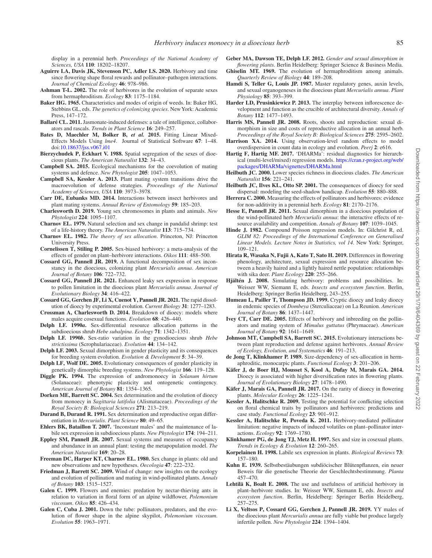display in a perennial herb. *Proceedings of the National Academy of Sciences, USA* **110**: 18202–18207.

- <span id="page-6-10"></span>**Aguirre LA, Davis JK, Stevenson PC, Adler LS. 2020.** Herbivory and time since flowering shape floral rewards and pollinator–pathogen interactions. *Journal of Chemical Ecology* **46**: 978–986.
- <span id="page-6-0"></span>**Ashman T-L. 2002.** The role of herbivores in the evolution of separate sexes from hermaphroditism. *Ecology* **83**: 1175–1184.
- <span id="page-6-23"></span>**Baker HG. 1965.** Characteristics and modes of origin of weeds. In: Baker HG, Stebbins GL, eds. *The genetics of colonizing species*. New York: Academic Press, 147–172.
- <span id="page-6-29"></span>**Ballaré CL. 2011.** Jasmonate-induced defenses: a tale of intelligence, collaborators and rascals. *Trends in Plant Science* **16**: 249–257.
- <span id="page-6-38"></span>**Bates D, Maechler M, Bolker B,** *et al.* **2015.** Fitting Linear Mixed-Effects Models Using *lme4*. Journal of Statistical Software **67**: 1–48. doi[:10.18637/jss.v067.i01](https://doi.org/10.18637/jss.v067.i01)
- <span id="page-6-25"></span>**Bierzychudek P, Eckhart V. 1988.** Spatial segregation of the sexes of dioecious plants. *The American Naturalist* **132**: 34–43.
- <span id="page-6-4"></span>**Campbell SA. 2015.** Ecological mechanisms for the coevolution of mating systems and defence. *New Phytologist* **205**: 1047–1053.
- <span id="page-6-3"></span>**Campbell SA, Kessler A. 2013.** Plant mating system transitions drive the macroevolution of defense strategies. *Proceedings of the National Academy of Sciences, USA* **110**: 3973–3978.
- <span id="page-6-1"></span>**Carr DE, Eubanks MD. 2014.** Interactions between insect herbivores and plant mating systems. *Annual Review of Entomology* **59**: 185–203.
- <span id="page-6-56"></span>**Charlesworth D. 2019.** Young sex chromosomes in plants and animals. *New Phytologist* **224**: 1095–1107.
- <span id="page-6-31"></span>**Charnov EL. 1979.** Natural selection and sex change in pandalid shrimp: test of a life-history theory. *The American Naturalist* **113**: 715–734.
- <span id="page-6-32"></span>**Charnov EL. 1982.** *The theory of sex allocation*. Princeton, NJ: Princeton University Press.
- <span id="page-6-12"></span>**Cornelissen T, Stiling P. 2005.** Sex-biased herbivory: a meta-analysis of the effects of gender on plant–herbivore interactions. *Oikos* **111**: 488–500.
- <span id="page-6-17"></span>**Cossard GG, Pannell JR. 2019.** A functional decomposition of sex inconstancy in the dioecious, colonizing plant *Mercurialis annua*. *American Journal of Botany* **106**: 722–732.
- <span id="page-6-21"></span>**Cossard GG, Pannell JR. 2021.** Enhanced leaky sex expression in response to pollen limitation in the dioecious plant *Mercurialis annua*. *Journal of Evolutionary Biology* **34**: 416–422.
- <span id="page-6-22"></span>**Cossard GG, Gerchen JF, Li X, Cuenot Y, Pannell JR. 2021.** The rapid dissolution of dioecy by experimental evolution. *Current Biology* **31**: 1277–1283.
- <span id="page-6-20"></span>**Crossman A, Charlesworth D. 2014.** Breakdown of dioecy: models where males acquire cosexual functions. *Evolution* **68**: 426–440.
- <span id="page-6-48"></span>**Delph LF. 1990***a***.** Sex-differential resource allocation patterns in the subdioecious shrub *Hebe subalpina*. *Ecology* **71**: 1342–1351.
- <span id="page-6-26"></span>**Delph LF. 1990***b***.** Sex-ratio variation in the gynodioecious shrub *Hebe strictissima* (Scrophulariaceae). *Evolution* **44**: 134–142.
- <span id="page-6-18"></span>**Delph LF. 2003.** Sexual dimorphism in gender plasticity and its consequences for breeding system evolution. *Evolution & Development* **5**: 34–39.
- <span id="page-6-19"></span>**Delph LF, Wolf DE. 2005.** Evolutionary consequences of gender plasticity in genetically dimorphic breeding systems. *New Phytologist* **166**: 119–128.
- <span id="page-6-14"></span>**Diggle PK. 1994.** The expression of andromonoecy in *Solanum hirtum* (Solanaceae): phenotypic plasticity and ontogenetic contingency. *American Journal of Botany* **81**: 1354–1365.
- <span id="page-6-55"></span>**Dorken ME, Barrett SC. 2004.** Sex determination and the evolution of dioecy from monoecy in *Sagittaria latifolia* (Alismataceae). *Proceedings of the Royal Society B: Biological Sciences* **271**: 213–219.
- <span id="page-6-46"></span>**Durand B, Durand R. 1991.** Sex determination and reproductive organ differentiation in *Mercurialis*. *Plant Science* **80**: 49–65.
- <span id="page-6-16"></span>**Ehlers BK, Bataillon T. 2007.** 'Inconstant males' and the maintenance of labile sex expression in subdioecious plants. *New Phytologist* **174**: 194–211.
- <span id="page-6-42"></span>**Eppley SM, Pannell JR. 2007.** Sexual systems and measures of occupancy and abundance in an annual plant: testing the metapopulation model. *The American Naturalist* **169**: 20–28.
- <span id="page-6-24"></span>**Freeman DC, Harper KT, Charnov EL. 1980.** Sex change in plants: old and new observations and new hypotheses. *Oecologia* **47**: 222–232.
- <span id="page-6-49"></span>**Friedman J, Barrett SC. 2009.** Wind of change: new insights on the ecology and evolution of pollination and mating in wind-pollinated plants. *Annals of Botany* **103**: 1515–1527.
- <span id="page-6-6"></span>**Galen C. 1999.** Flowers and enemies: predation by nectar-thieving ants in relation to variation in floral form of an alpine wildflower, *Polemonium viscosum*. *Oikos* **85**: 426–434.
- <span id="page-6-7"></span>**Galen C, Cuba J. 2001.** Down the tube: pollinators, predators, and the evolution of flower shape in the alpine skypilot, *Polemonium viscosum*. *Evolution* **55**: 1963–1971.

<span id="page-6-13"></span>**Geber MA, Dawson TE, Delph LF. 2012.** *Gender and sexual dimorphism in flowering plants*. Berlin Heidelberg: Springer Science & Business Media.

- <span id="page-6-30"></span>**Ghiselin MT. 1969.** The evolution of hermaphroditism among animals. *Quarterly Review of Biology* **44**: 189–208.
- <span id="page-6-45"></span>**Hamdi S, Teller G, Louis JP. 1987.** Master regulatory genes, auxin levels, and sexual organogeneses in the dioecious plant *Mercurialis annua*. *Plant Physiology* **85**: 393–399.
- <span id="page-6-50"></span>**Harder LD, Prusinkiewicz P. 2013.** The interplay between inflorescence development and function as the crucible of architectural diversity. *Annals of Botany* **112**: 1477–1493.
- <span id="page-6-47"></span>**Harris MS, Pannell JR. 2008.** Roots, shoots and reproduction: sexual dimorphism in size and costs of reproductive allocation in an annual herb. *Proceedings of the Royal Society B: Biological Sciences* **275**: 2595–2602.
- <span id="page-6-41"></span>**Harrison XA. 2014.** Using observation-level random effects to model overdispersion in count data in ecology and evolution. *Peerj* **2**: e616.
- <span id="page-6-39"></span>**Hartig F, Hartig MF. 2017.** 'DHARMa': residual diagnostics for hierarchical (multi-level/mixed) regression models. [https://cran.r-project.org/web/](https://cran.r-project.org/web/packages/DHARMa/vignettes/DHARMa.html) [packages/DHARMa/vignettes/DHARMa.html](https://cran.r-project.org/web/packages/DHARMa/vignettes/DHARMa.html)
- <span id="page-6-51"></span>**Heilbuth JC. 2000.** Lower species richness in dioecious clades. *The American Naturalist* **156**: 221–241.
- <span id="page-6-52"></span>**Heilbuth JC, Ilves KL, Otto SP. 2001.** The consequences of dioecy for seed dispersal: modeling the seed-shadow handicap. *Evolution* **55**: 880–888.
- <span id="page-6-5"></span>**Herrera C. 2000.** Measuring the effects of pollinators and herbivores: evidence for non-additivity in a perennial herb. *Ecology* **81**: 2170–2176.
- <span id="page-6-44"></span>**Hesse E, Pannell JR. 2011.** Sexual dimorphism in a dioecious population of the wind-pollinated herb *Mercurialis annua*: the interactive effects of resource availability and competition. *Annals of Botany* **107**: 1039–1045.
- <span id="page-6-40"></span>**Hinde J. 1982.** Compound Poisson regression models. In: Gilchrist R, ed. *GLIM 82: Proceedings of the International Conference on Generalised Linear Models. Lecture Notes in Statistics, vol 14*. New York: Springer, 109–121.
- <span id="page-6-15"></span>**Hirata R, Wasaka N, Fujii A, Kato T, Sato H. 2019.** Differences in flowering phenology, architecture, sexual expression and resource allocation between a heavily haired and a lightly haired nettle population: relationships with sika deer. *Plant Ecology* **220**: 255–266.
- <span id="page-6-36"></span>**Hjältén J. 2008.** Simulating herbivory: problems and possibilities. In: Weisser WW, Siemann E, eds. *Insects and ecosystem function*. Berlin, Heidelberg: Springer Berlin Heidelberg, 243–255.
- <span id="page-6-27"></span>**Humeau L, Pailler T, Thompson JD. 1999.** Cryptic dioecy and leaky dioecy in endemic species of *Dombeya* (Sterculiaceae) on La Reunion. *American Journal of Botany* **86**: 1437–1447.
- <span id="page-6-11"></span>**Ivey CT, Carr DE. 2005.** Effects of herbivory and inbreeding on the pollinators and mating system of *Mimulus guttatus* (Phrymaceae). *American Journal of Botany* **92**: 1641–1649.
- <span id="page-6-2"></span>**Johnson MT, Campbell SA, Barrett SC. 2015.** Evolutionary interactions between plant reproduction and defense against herbivores. *Annual Review of Ecology, Evolution, and Systematics* **46**: 191–213.
- <span id="page-6-33"></span>**de Jong T, Klinkhamer P. 1989.** Size-dependency of sex-allocation in hermaphroditic, monocarpic plants. *Functional Ecology* **3**: 201–206.
- <span id="page-6-53"></span>**Käfer J, de Boer HJ, Mousset S, Kool A, Dufay M, Marais GA. 2014.**  Dioecy is associated with higher diversification rates in flowering plants. *Journal of Evolutionary Biology* **27**: 1478–1490.
- <span id="page-6-54"></span>**Käfer J, Marais GA, Pannell JR. 2017.** On the rarity of dioecy in flowering plants. *Molecular Ecology* **26**: 1225–1241.
- <span id="page-6-8"></span>**Kessler A, Halitschke R. 2009.** Testing the potential for conflicting selection on floral chemical traits by pollinators and herbivores: predictions and case study. *Functional Ecology* **23**: 901–912.
- <span id="page-6-9"></span>**Kessler A, Halitschke R, Poveda K. 2011.** Herbivory-mediated pollinator limitation: negative impacts of induced volatiles on plant–pollinator interactions. *Ecology* **92**: 1769–1780.
- <span id="page-6-34"></span>**Klinkhamer PG, de Jong TJ, Metz H. 1997.** Sex and size in cosexual plants. *Trends in Ecology & Evolution* **12**: 260–265.
- <span id="page-6-35"></span>**Korpelainen H. 1998.** Labile sex expression in plants. *Biological Reviews* **73**: 157–180.
- <span id="page-6-28"></span>**Kuhn E. 1939.** Selbstbestäubungen subdiöcischer Blütenpflanzen, ein neuer Beweis für die genetische Theorie der Geschlechtsbestimmung. *Planta* 457–470.
- <span id="page-6-43"></span>Lehtilä K, Boalt E. 2008. The use and usefulness of artificial herbivory in plant–herbivore studies. In: Weisser WW, Siemann E, eds. *Insects and ecosystem function*. Berlin, Heidelberg: Springer Berlin Heidelberg, 257–275.
- <span id="page-6-37"></span>**Li X, Veltsos P, Cossard GG, Gerchen J, Pannell JR. 2019.** YY males of the dioecious plant *Mercurialis annua* are fully viable but produce largely infertile pollen. *New Phytologist* **224**: 1394–1404.